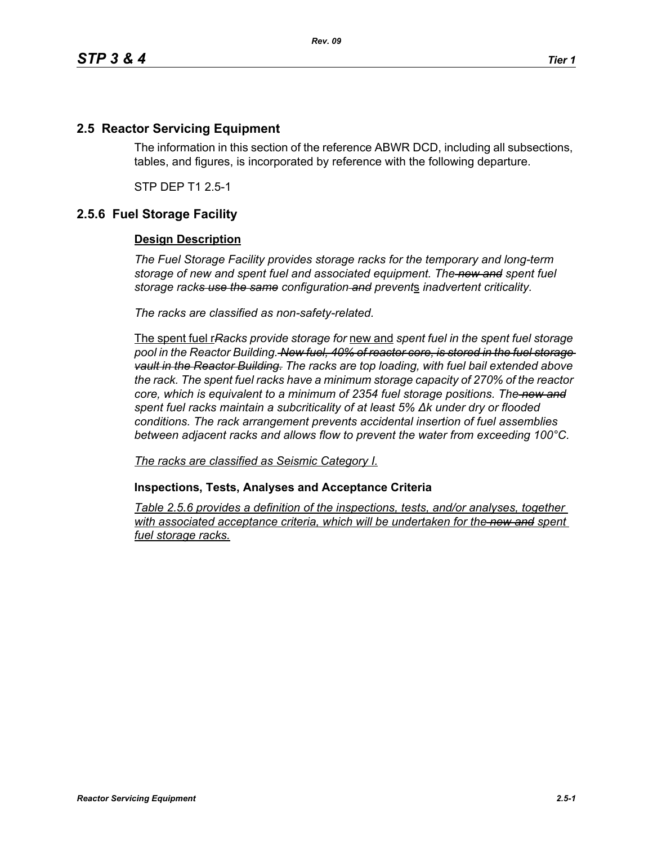## **2.5 Reactor Servicing Equipment**

The information in this section of the reference ABWR DCD, including all subsections, tables, and figures, is incorporated by reference with the following departure.

STP DEP T1 2.5-1

## **2.5.6 Fuel Storage Facility**

## **Design Description**

*The Fuel Storage Facility provides storage racks for the temporary and long-term storage of new and spent fuel and associated equipment. The new and spent fuel storage racks use the same configuration and prevent*s *inadvertent criticality.*

*The racks are classified as non-safety-related.*

The spent fuel r*Racks provide storage for* new and *spent fuel in the spent fuel storage pool in the Reactor Building. New fuel, 40% of reactor core, is stored in the fuel storage vault in the Reactor Building. The racks are top loading, with fuel bail extended above the rack. The spent fuel racks have a minimum storage capacity of 270% of the reactor core, which is equivalent to a minimum of 2354 fuel storage positions. The new and spent fuel racks maintain a subcriticality of at least 5% ∆k under dry or flooded conditions. The rack arrangement prevents accidental insertion of fuel assemblies between adjacent racks and allows flow to prevent the water from exceeding 100°C.*

*The racks are classified as Seismic Category I.*

**Inspections, Tests, Analyses and Acceptance Criteria**

*Table 2.5.6 provides a definition of the inspections, tests, and/or analyses, together*  with associated acceptance criteria, which will be undertaken for the new and spent *fuel storage racks.*